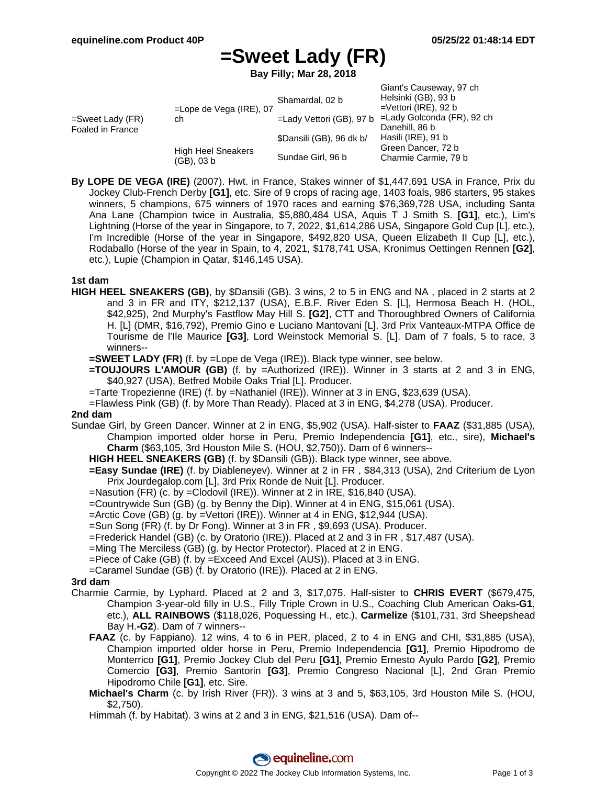# **=Sweet Lady (FR)**

**Bay Filly; Mar 28, 2018**

| =Sweet Lady (FR)<br>Foaled in France | $=$ Lope de Vega (IRE), 07<br>ch        | Shamardal, 02 b          | Giant's Causeway, 97 ch<br>Helsinki (GB), 93 b<br>$=$ Vettori (IRE), 92 b |
|--------------------------------------|-----------------------------------------|--------------------------|---------------------------------------------------------------------------|
|                                      |                                         | =Lady Vettori (GB), 97 b | =Lady Golconda (FR), 92 ch                                                |
|                                      |                                         |                          | Danehill, 86 b                                                            |
|                                      |                                         | \$Dansili (GB), 96 dk b/ | Hasili (IRE), 91 b                                                        |
|                                      | <b>High Heel Sneakers</b><br>(GB), 03 b |                          | Green Dancer, 72 b                                                        |
|                                      |                                         | Sundae Girl, 96 b        | Charmie Carmie, 79 b                                                      |

**By LOPE DE VEGA (IRE)** (2007). Hwt. in France, Stakes winner of \$1,447,691 USA in France, Prix du Jockey Club-French Derby **[G1]**, etc. Sire of 9 crops of racing age, 1403 foals, 986 starters, 95 stakes winners, 5 champions, 675 winners of 1970 races and earning \$76,369,728 USA, including Santa Ana Lane (Champion twice in Australia, \$5,880,484 USA, Aquis T J Smith S. **[G1]**, etc.), Lim's Lightning (Horse of the year in Singapore, to 7, 2022, \$1,614,286 USA, Singapore Gold Cup [L], etc.), I'm Incredible (Horse of the year in Singapore, \$492,820 USA, Queen Elizabeth II Cup [L], etc.), Rodaballo (Horse of the year in Spain, to 4, 2021, \$178,741 USA, Kronimus Oettingen Rennen **[G2]**, etc.), Lupie (Champion in Qatar, \$146,145 USA).

#### **1st dam**

- **HIGH HEEL SNEAKERS (GB)**, by \$Dansili (GB). 3 wins, 2 to 5 in ENG and NA , placed in 2 starts at 2 and 3 in FR and ITY, \$212,137 (USA), E.B.F. River Eden S. [L], Hermosa Beach H. (HOL, \$42,925), 2nd Murphy's Fastflow May Hill S. **[G2]**, CTT and Thoroughbred Owners of California H. [L] (DMR, \$16,792), Premio Gino e Luciano Mantovani [L], 3rd Prix Vanteaux-MTPA Office de Tourisme de l'Ile Maurice **[G3]**, Lord Weinstock Memorial S. [L]. Dam of 7 foals, 5 to race, 3 winners--
	- **=SWEET LADY (FR)** (f. by =Lope de Vega (IRE)). Black type winner, see below.
	- **=TOUJOURS L'AMOUR (GB)** (f. by =Authorized (IRE)). Winner in 3 starts at 2 and 3 in ENG, \$40,927 (USA), Betfred Mobile Oaks Trial [L]. Producer.
	- =Tarte Tropezienne (IRE) (f. by =Nathaniel (IRE)). Winner at 3 in ENG, \$23,639 (USA).
	- =Flawless Pink (GB) (f. by More Than Ready). Placed at 3 in ENG, \$4,278 (USA). Producer.

### **2nd dam**

- Sundae Girl, by Green Dancer. Winner at 2 in ENG, \$5,902 (USA). Half-sister to **FAAZ** (\$31,885 (USA), Champion imported older horse in Peru, Premio Independencia **[G1]**, etc., sire), **Michael's Charm** (\$63,105, 3rd Houston Mile S. (HOU, \$2,750)). Dam of 6 winners--
	- **HIGH HEEL SNEAKERS (GB)** (f. by \$Dansili (GB)). Black type winner, see above.
	- **=Easy Sundae (IRE)** (f. by Diableneyev). Winner at 2 in FR , \$84,313 (USA), 2nd Criterium de Lyon Prix Jourdegalop.com [L], 3rd Prix Ronde de Nuit [L]. Producer.
	- =Nasution (FR) (c. by =Clodovil (IRE)). Winner at 2 in IRE, \$16,840 (USA).
	- =Countrywide Sun (GB) (g. by Benny the Dip). Winner at 4 in ENG, \$15,061 (USA).
	- =Arctic Cove (GB) (g. by =Vettori (IRE)). Winner at 4 in ENG, \$12,944 (USA).
	- =Sun Song (FR) (f. by Dr Fong). Winner at 3 in FR , \$9,693 (USA). Producer.
	- =Frederick Handel (GB) (c. by Oratorio (IRE)). Placed at 2 and 3 in FR , \$17,487 (USA).
	- =Ming The Merciless (GB) (g. by Hector Protector). Placed at 2 in ENG.
	- =Piece of Cake (GB) (f. by =Exceed And Excel (AUS)). Placed at 3 in ENG.
	- =Caramel Sundae (GB) (f. by Oratorio (IRE)). Placed at 2 in ENG.

#### **3rd dam**

- Charmie Carmie, by Lyphard. Placed at 2 and 3, \$17,075. Half-sister to **CHRIS EVERT** (\$679,475, Champion 3-year-old filly in U.S., Filly Triple Crown in U.S., Coaching Club American Oaks**-G1**, etc.), **ALL RAINBOWS** (\$118,026, Poquessing H., etc.), **Carmelize** (\$101,731, 3rd Sheepshead Bay H.**-G2**). Dam of 7 winners--
	- **FAAZ** (c. by Fappiano). 12 wins, 4 to 6 in PER, placed, 2 to 4 in ENG and CHI, \$31,885 (USA), Champion imported older horse in Peru, Premio Independencia **[G1]**, Premio Hipodromo de Monterrico **[G1]**, Premio Jockey Club del Peru **[G1]**, Premio Ernesto Ayulo Pardo **[G2]**, Premio Comercio **[G3]**, Premio Santorin **[G3]**, Premio Congreso Nacional [L], 2nd Gran Premio Hipodromo Chile **[G1]**, etc. Sire.
	- **Michael's Charm** (c. by Irish River (FR)). 3 wins at 3 and 5, \$63,105, 3rd Houston Mile S. (HOU, \$2,750).
	- Himmah (f. by Habitat). 3 wins at 2 and 3 in ENG, \$21,516 (USA). Dam of--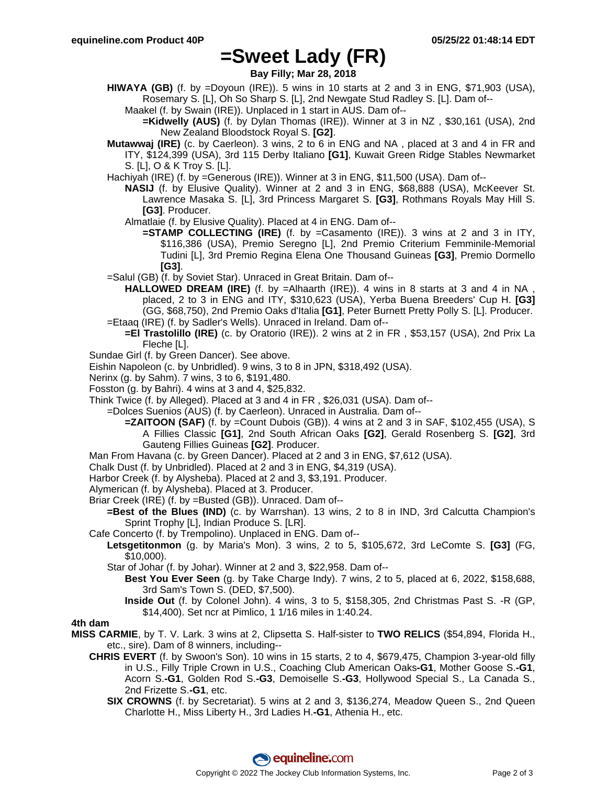## **=Sweet Lady (FR)**

**Bay Filly; Mar 28, 2018**

- **HIWAYA (GB)** (f. by =Doyoun (IRE)). 5 wins in 10 starts at 2 and 3 in ENG, \$71,903 (USA), Rosemary S. [L], Oh So Sharp S. [L], 2nd Newgate Stud Radley S. [L]. Dam of--
	- Maakel (f. by Swain (IRE)). Unplaced in 1 start in AUS. Dam of--
		- **=Kidwelly (AUS)** (f. by Dylan Thomas (IRE)). Winner at 3 in NZ , \$30,161 (USA), 2nd New Zealand Bloodstock Royal S. **[G2]**.
- **Mutawwaj (IRE)** (c. by Caerleon). 3 wins, 2 to 6 in ENG and NA , placed at 3 and 4 in FR and ITY, \$124,399 (USA), 3rd 115 Derby Italiano **[G1]**, Kuwait Green Ridge Stables Newmarket S. [L], O & K Troy S. [L].
- Hachiyah (IRE) (f. by =Generous (IRE)). Winner at 3 in ENG, \$11,500 (USA). Dam of--
	- **NASIJ** (f. by Elusive Quality). Winner at 2 and 3 in ENG, \$68,888 (USA), McKeever St. Lawrence Masaka S. [L], 3rd Princess Margaret S. **[G3]**, Rothmans Royals May Hill S. **[G3]**. Producer.
	- Almatlaie (f. by Elusive Quality). Placed at 4 in ENG. Dam of--
		- **=STAMP COLLECTING (IRE)** (f. by =Casamento (IRE)). 3 wins at 2 and 3 in ITY, \$116,386 (USA), Premio Seregno [L], 2nd Premio Criterium Femminile-Memorial Tudini [L], 3rd Premio Regina Elena One Thousand Guineas **[G3]**, Premio Dormello **[G3]**.
- =Salul (GB) (f. by Soviet Star). Unraced in Great Britain. Dam of--
- **HALLOWED DREAM (IRE)** (f. by =Alhaarth (IRE)). 4 wins in 8 starts at 3 and 4 in NA, placed, 2 to 3 in ENG and ITY, \$310,623 (USA), Yerba Buena Breeders' Cup H. **[G3]** (GG, \$68,750), 2nd Premio Oaks d'Italia **[G1]**, Peter Burnett Pretty Polly S. [L]. Producer. =Etaaq (IRE) (f. by Sadler's Wells). Unraced in Ireland. Dam of--
	- **=El Trastolillo (IRE)** (c. by Oratorio (IRE)). 2 wins at 2 in FR , \$53,157 (USA), 2nd Prix La Fleche [L].
- Sundae Girl (f. by Green Dancer). See above.
- Eishin Napoleon (c. by Unbridled). 9 wins, 3 to 8 in JPN, \$318,492 (USA).
- Nerinx (g. by Sahm). 7 wins, 3 to 6, \$191,480.
- Fosston (g. by Bahri). 4 wins at 3 and 4, \$25,832.
- Think Twice (f. by Alleged). Placed at 3 and 4 in FR , \$26,031 (USA). Dam of--
- =Dolces Suenios (AUS) (f. by Caerleon). Unraced in Australia. Dam of--
	- **=ZAITOON (SAF)** (f. by =Count Dubois (GB)). 4 wins at 2 and 3 in SAF, \$102,455 (USA), S A Fillies Classic **[G1]**, 2nd South African Oaks **[G2]**, Gerald Rosenberg S. **[G2]**, 3rd Gauteng Fillies Guineas **[G2]**. Producer.
- Man From Havana (c. by Green Dancer). Placed at 2 and 3 in ENG, \$7,612 (USA).
- Chalk Dust (f. by Unbridled). Placed at 2 and 3 in ENG, \$4,319 (USA).
- Harbor Creek (f. by Alysheba). Placed at 2 and 3, \$3,191. Producer.
- Alymerican (f. by Alysheba). Placed at 3. Producer.
- Briar Creek (IRE) (f. by =Busted (GB)). Unraced. Dam of--
	- **=Best of the Blues (IND)** (c. by Warrshan). 13 wins, 2 to 8 in IND, 3rd Calcutta Champion's Sprint Trophy [L], Indian Produce S. [LR].
- Cafe Concerto (f. by Trempolino). Unplaced in ENG. Dam of--
	- **Letsgetitonmon** (g. by Maria's Mon). 3 wins, 2 to 5, \$105,672, 3rd LeComte S. **[G3]** (FG, \$10,000).
		- Star of Johar (f. by Johar). Winner at 2 and 3, \$22,958. Dam of--
			- **Best You Ever Seen** (g. by Take Charge Indy). 7 wins, 2 to 5, placed at 6, 2022, \$158,688, 3rd Sam's Town S. (DED, \$7,500).
			- **Inside Out** (f. by Colonel John). 4 wins, 3 to 5, \$158,305, 2nd Christmas Past S. -R (GP, \$14,400). Set ncr at Pimlico, 1 1/16 miles in 1:40.24.

### **4th dam**

- **MISS CARMIE**, by T. V. Lark. 3 wins at 2, Clipsetta S. Half-sister to **TWO RELICS** (\$54,894, Florida H., etc., sire). Dam of 8 winners, including--
	- **CHRIS EVERT** (f. by Swoon's Son). 10 wins in 15 starts, 2 to 4, \$679,475, Champion 3-year-old filly in U.S., Filly Triple Crown in U.S., Coaching Club American Oaks**-G1**, Mother Goose S.**-G1**, Acorn S.**-G1**, Golden Rod S.**-G3**, Demoiselle S.**-G3**, Hollywood Special S., La Canada S., 2nd Frizette S.**-G1**, etc.
		- **SIX CROWNS** (f. by Secretariat). 5 wins at 2 and 3, \$136,274, Meadow Queen S., 2nd Queen Charlotte H., Miss Liberty H., 3rd Ladies H.**-G1**, Athenia H., etc.